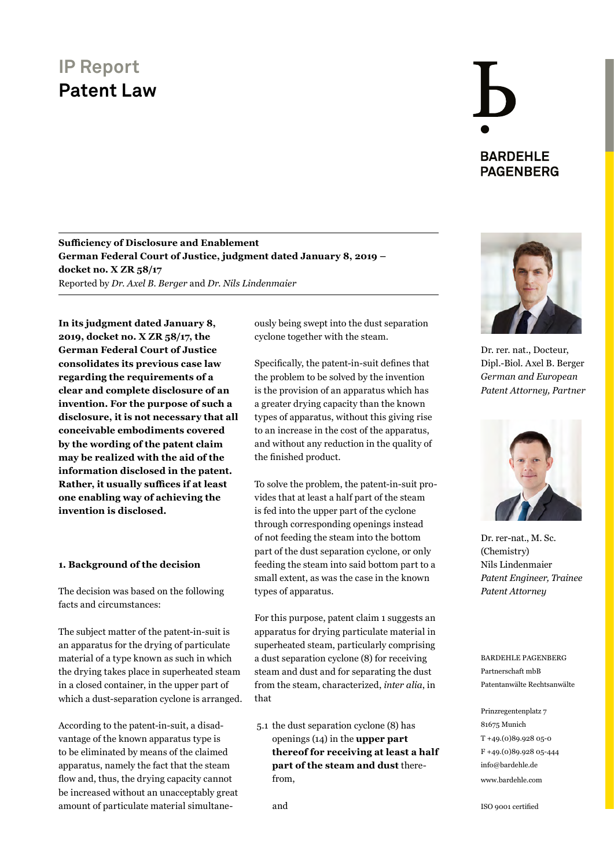### **IP Report Patent Law**

## **BARDEHLE PAGENBERG**

#### **Sufficiency of Disclosure and Enablement German Federal Court of Justice, judgment dated January 8, 2019 – docket no. X ZR 58/17**  Reported by *Dr. Axel B. Berger* and *Dr. Nils Lindenmaier*

**In its judgment dated January 8, 2019, docket no. X ZR 58/17, the German Federal Court of Justice consolidates its previous case law regarding the requirements of a clear and complete disclosure of an invention. For the purpose of such a disclosure, it is not necessary that all conceivable embodiments covered by the wording of the patent claim may be realized with the aid of the information disclosed in the patent. Rather, it usually suffices if at least one enabling way of achieving the invention is disclosed.**

#### **1. Background of the decision**

The decision was based on the following facts and circumstances:

The subject matter of the patent-in-suit is an apparatus for the drying of particulate material of a type known as such in which the drying takes place in superheated steam in a closed container, in the upper part of which a dust-separation cyclone is arranged.

According to the patent-in-suit, a disadvantage of the known apparatus type is to be eliminated by means of the claimed apparatus, namely the fact that the steam flow and, thus, the drying capacity cannot be increased without an unacceptably great amount of particulate material simultaneously being swept into the dust separation cyclone together with the steam.

Specifically, the patent-in-suit defines that the problem to be solved by the invention is the provision of an apparatus which has a greater drying capacity than the known types of apparatus, without this giving rise to an increase in the cost of the apparatus, and without any reduction in the quality of the finished product.

To solve the problem, the patent-in-suit provides that at least a half part of the steam is fed into the upper part of the cyclone through corresponding openings instead of not feeding the steam into the bottom part of the dust separation cyclone, or only feeding the steam into said bottom part to a small extent, as was the case in the known types of apparatus.

For this purpose, patent claim 1 suggests an apparatus for drying particulate material in superheated steam, particularly comprising a dust separation cyclone (8) for receiving steam and dust and for separating the dust from the steam, characterized, *inter alia*, in that

5.1 the dust separation cyclone (8) has openings (14) in the **upper part thereof for receiving at least a half part of the steam and dust** therefrom,

and



Dr. rer. nat., Docteur, Dipl.-Biol. Axel B. Berger *German and European [Patent Attorney, Partner](https://www.bardehle.com/team/detail/berger-axel.html)*



Dr. rer-nat., M. Sc. (Chemistry) Nils Lindenmaier *[Patent Engineer, Trainee](https://www.bardehle.com/team/detail/lindenmaier-nils.html)  Patent Attorney*

BARDEHLE PAGENBERG Partnerschaft mbB Patentanwälte Rechtsanwälte

Prinzregentenplatz 7 81675 Munich T +49.(0)89.928 05-0 F +49.(0)89.928 05-444 [info@bardehle.de](mailto:info%40bardehle.de?subject=) [www.bardehle.com](https://www.bardehle.com)

ISO 9001 certified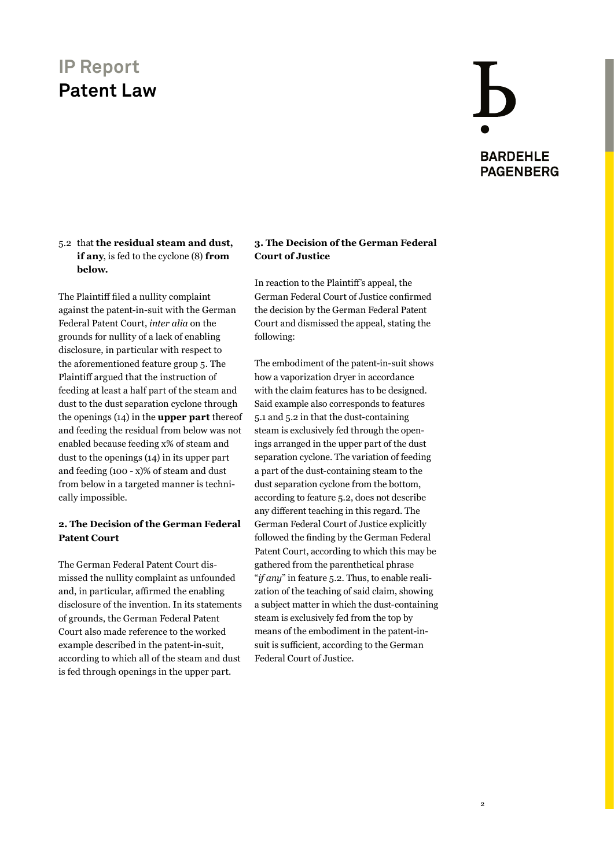## **IP Report Patent Law**

## **BARDEHLE PAGENBERG**

2

#### 5.2 that **the residual steam and dust, if any**, is fed to the cyclone (8) **from below.**

The Plaintiff filed a nullity complaint against the patent-in-suit with the German Federal Patent Court, *inter alia* on the grounds for nullity of a lack of enabling disclosure, in particular with respect to the aforementioned feature group 5. The Plaintiff argued that the instruction of feeding at least a half part of the steam and dust to the dust separation cyclone through the openings (14) in the **upper part** thereof and feeding the residual from below was not enabled because feeding x% of steam and dust to the openings (14) in its upper part and feeding (100 - x)% of steam and dust from below in a targeted manner is technically impossible.

#### **2. The Decision of the German Federal Patent Court**

The German Federal Patent Court dismissed the nullity complaint as unfounded and, in particular, affirmed the enabling disclosure of the invention. In its statements of grounds, the German Federal Patent Court also made reference to the worked example described in the patent-in-suit, according to which all of the steam and dust is fed through openings in the upper part.

#### **3. The Decision of the German Federal Court of Justice**

In reaction to the Plaintiff's appeal, the German Federal Court of Justice confirmed the decision by the German Federal Patent Court and dismissed the appeal, stating the following:

The embodiment of the patent-in-suit shows how a vaporization dryer in accordance with the claim features has to be designed. Said example also corresponds to features 5.1 and 5.2 in that the dust-containing steam is exclusively fed through the openings arranged in the upper part of the dust separation cyclone. The variation of feeding a part of the dust-containing steam to the dust separation cyclone from the bottom, according to feature 5.2, does not describe any different teaching in this regard. The German Federal Court of Justice explicitly followed the finding by the German Federal Patent Court, according to which this may be gathered from the parenthetical phrase "*if any*" in feature 5.2. Thus, to enable realization of the teaching of said claim, showing a subject matter in which the dust-containing steam is exclusively fed from the top by means of the embodiment in the patent-insuit is sufficient, according to the German Federal Court of Justice.